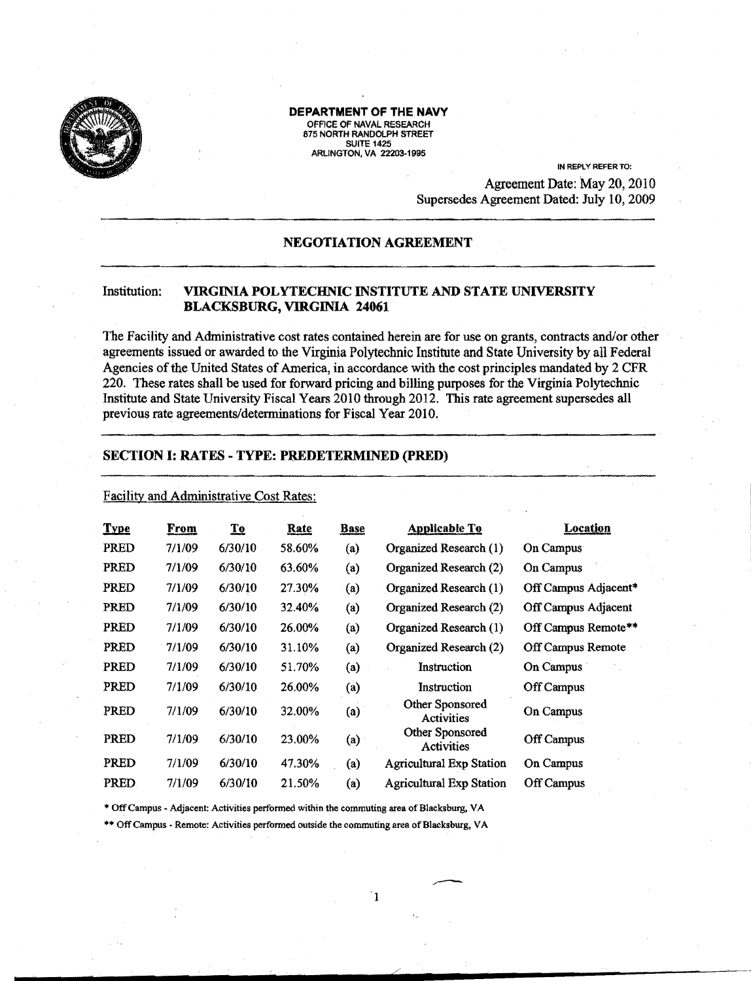

#### DEPARTMENT OF THE NAVY OFFICE OF NAVAL RESEARCH 875 NORTH RANDOLPH STREET **SUITE 1425** ARLINGTON. VA 22203·1995

IN REPlY REFER TO: Agreement Date: May 20, 2010 Supersedes Agreement Dated: July 10, 2009

# NEGOTIATION AGREEMENT

## Institution: VIRGINIA POLYTECHNIC INSTITUTE AND STATE UNIVERSITY BLACKSBURG, VIRGINIA 24061

The Facility and Administrative cost rates contained herein are for use on grants, contracts and/or other agreements issued or awarded to the Virginia Polytechnic Institute and State University by all Federal Agencies of the United States of America, in accordance with the cost principles mandated by 2 CFR 220. These rates shall be used for forward pricing and billing purposes for the Virginia Polytechnic Institute and State University Fiscal Years 2010 through 2012. This rate agreement supersedes all previous rate agreements/determinations for Fiscal Year 2010.

## SECTION I: RATES - TYPE: PREDETERMINED (PRED)

## Facility and Administrative Cost Rates:

| <b>Type</b> | From   | $\mathbf{T}$ <b>o</b> | Rate   | <b>Base</b> | Applicable To                        | Location             |
|-------------|--------|-----------------------|--------|-------------|--------------------------------------|----------------------|
| PRED        | 7/1/09 | 6/30/10               | 58.60% | (a)         | Organized Research (1)               | On Campus            |
| <b>PRED</b> | 7/1/09 | 6/30/10               | 63.60% | (a)         | Organized Research (2)               | On Campus            |
| PRED        | 7/1/09 | 6/30/10               | 27.30% | (a)         | Organized Research (1)               | Off Campus Adjacent* |
| <b>PRED</b> | 7/1/09 | 6/30/10               | 32.40% | (a)         | Organized Research (2)               | Off Campus Adjacent  |
| <b>PRED</b> | 7/1/09 | 6/30/10               | 26.00% | (a)         | Organized Research (1)               | Off Campus Remote**  |
| PRED        | 7/1/09 | 6/30/10               | 31.10% | (a)         | Organized Research (2)               | Off Campus Remote    |
| <b>PRED</b> | 7/1/09 | 6/30/10               | 51.70% | (a)         | Instruction                          | On Campus            |
| <b>PRED</b> | 7/1/09 | 6/30/10               | 26.00% | (a)         | Instruction                          | Off Campus           |
| PRED        | 7/1/09 | 6/30/10               | 32.00% | (a)         | Other Sponsored<br>Activities        | On Campus            |
| <b>PRED</b> | 7/1/09 | 6/30/10               | 23.00% | (a)         | Other Sponsored<br><b>Activities</b> | Off Campus           |
| PRED        | 7/1/09 | 6/30/10               | 47.30% | (a)         | <b>Agricultural Exp Station</b>      | On Campus            |
| PRED.       | 7/1/09 | 6/30/10               | 21.50% | (a)         | <b>Agricultural Exp Station</b>      | Off Campus           |

1

/

\* Off Campus - Adjacent: Activities performed within the commuting area of Blacksburg, VA

\*\* Off Campus - Remote: Activities performed outside the commuting area of Blacksburg, VA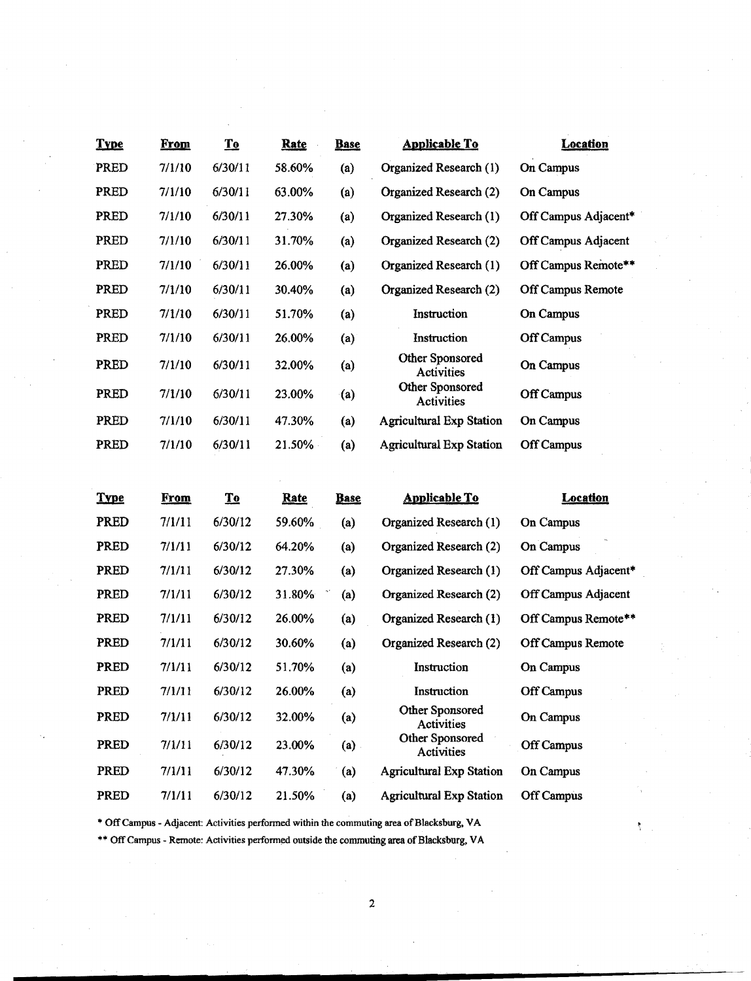| <b>Type</b> | <u>From</u> | T <sub>0</sub> | <b>Rate</b> | <b>Base</b> | <b>Applicable To</b>                 | <b>Location</b>      |
|-------------|-------------|----------------|-------------|-------------|--------------------------------------|----------------------|
| PRED        | 7/1/10      | 6/30/11        | 58.60%      | (a)         | Organized Research (1)               | On Campus            |
| PRED        | 7/1/10      | 6/30/11        | 63.00%      | (a)         | Organized Research (2)               | On Campus            |
| PRED        | 7/1/10      | 6/30/11        | 27.30%      | (a)         | Organized Research (1)               | Off Campus Adjacent* |
| PRED        | 7/1/10      | 6/30/11        | 31.70%      | (a)         | Organized Research (2)               | Off Campus Adjacent  |
| PRED        | 7/1/10      | 6/30/11        | 26.00%      | (a)         | Organized Research (1)               | Off Campus Remote**  |
| PRED        | 7/1/10      | 6/30/11        | 30.40%      | (a)         | Organized Research (2)               | Off Campus Remote    |
| PRED        | 7/1/10      | 6/30/11        | 51.70%      | (a)         | Instruction                          | On Campus            |
| PRED        | 7/1/10      | 6/30/11        | 26.00%      | (a)         | Instruction                          | <b>Off Campus</b>    |
| PRED        | 7/1/10      | 6/30/11        | 32.00%      | (a)         | Other Sponsored<br><b>Activities</b> | On Campus            |
| PRED        | 7/1/10      | 6/30/11        | 23.00%      | (a)         | Other Sponsored<br>Activities        | Off Campus           |
| PRED        | 7/1/10      | 6/30/11        | 47.30%      | (a)         | <b>Agricultural Exp Station</b>      | On Campus            |
| PRED        | 7/1/10      | 6/30/11        | 21.50%      | (a)         | <b>Agricultural Exp Station</b>      | Off Campus           |

| <b>Type</b> | <b>From</b> | <b>To</b> | Rate          | <b>Base</b> | <b>Applicable To</b>            | <b>Location</b>      |
|-------------|-------------|-----------|---------------|-------------|---------------------------------|----------------------|
| <b>PRED</b> | 7/1/11      | 6/30/12   | <b>59.60%</b> | (a)         | Organized Research (1)          | On Campus            |
| PRED        | 7/1/11      | 6/30/12   | 64.20%        | (a)         | Organized Research (2)          | On Campus            |
| PRED        | 7/1/11      | 6/30/12   | 27.30%        | (a)         | Organized Research (1)          | Off Campus Adjacent* |
| PRED        | 7/1/11      | 6/30/12   | 31.80%        | (a)         | Organized Research (2)          | Off Campus Adjacent  |
| PRED        | 7/1/11      | 6/30/12   | 26.00%        | (a)         | Organized Research (1)          | Off Campus Remote**  |
| PRED        | 7/1/11      | 6/30/12   | 30.60%        | (a)         | Organized Research (2)          | Off Campus Remote    |
| PRED        | 7/1/11      | 6/30/12   | 51.70%        | (a)         | Instruction                     | On Campus            |
| PRED        | 7/1/11      | 6/30/12   | 26.00%        | (a)         | Instruction                     | Off Campus           |
| PRED        | 7/1/11      | 6/30/12   | 32.00%        | (a)         | Other Sponsored<br>Activities   | On Campus            |
| PRED        | 7/1/11      | 6/30/12   | 23.00%        | $(a)$ .     | Other Sponsored<br>Activities   | <b>Off Campus</b>    |
| PRED        | 7/1/11      | 6/30/12   | 47.30%        | (a)         | <b>Agricultural Exp Station</b> | On Campus            |
| PRED        | 7/1/11      | 6/30/12   | 21.50%        | (a)         | <b>Agricultural Exp Station</b> | <b>Off Campus</b>    |

\* Off Campus - Adjacent: Activities performed within the commuting area of Blacksburg, VA

\*\* Off Campus - Remote: Activities performed outside the commuting area of Blacksburg, VA

ŧ.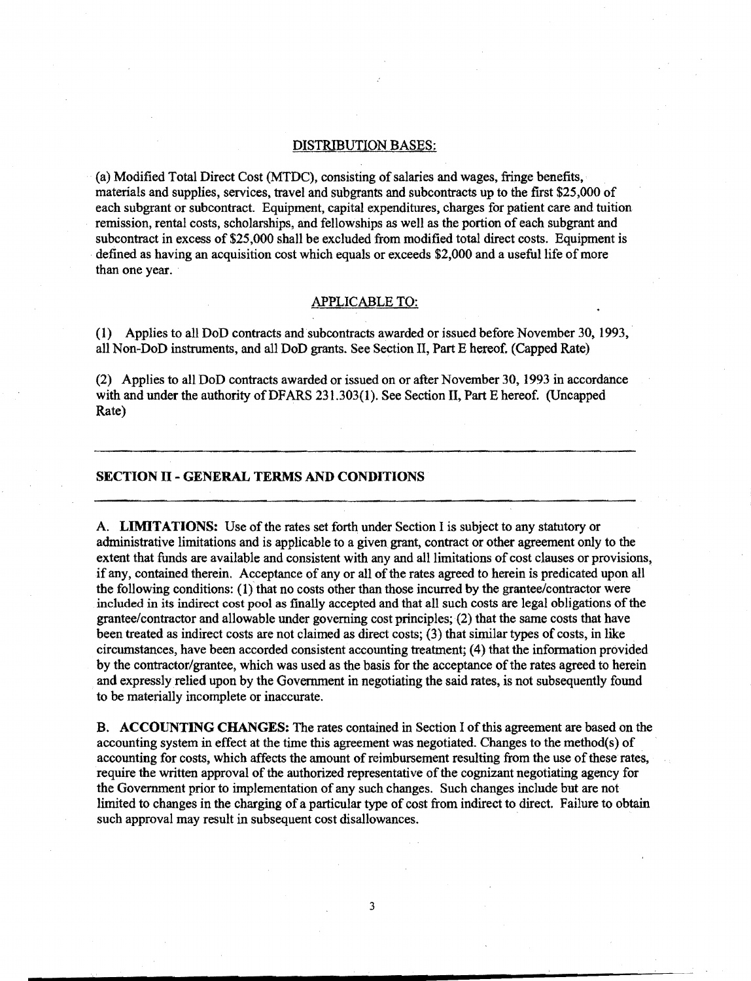#### DISTRIBUTION BASES:

(a) Modified Total Direct Cost (MTDC), consisting ofsalaries and wages, fringe benefits, materials and supplies, services, travel and subgrants and subcontracts up to the first \$25,000 of each subgrant or subcontract. Equipment, capital expenditures, charges for patient care and tuition remission, rental costs, scholarships, and fellowships as well as the portion ofeach subgrant and subcontract in excess of \$25,000 shall be excluded from modified total direct costs. Equipment is defined as having an acquisition cost which equals or exceeds \$2,000 and a useful life of more than one year.

### APPLICABLE TO:

(1) Applies to all DoD contracts and subcontracts awarded or issued before November 30, 1993, all Non-DoD instruments, and all DoD grants. See Section II, Part E hereof. (Capped Rate)

(2) Applies to all DoD contracts awarded or issued on or after November 30, 1993 in accordance with and under the authority of DFARS 231.303(1). See Section II, Part E hereof. (Uncapped Rate)

# **SECTION II - GENERAL TERMS AND CONDITIONS**

A. **LIMITATIONS:** Use of the rates set forth under Section I is subject to any statutory or administrative limitations and is applicable to a given grant, contract or other agreement only to the extent that funds are available and consistent with any and all limitations of cost clauses or provisions, if any, contained therein. Acceptance of any or all of the rates agreed to herein is predicated upon all the following conditions:  $(1)$  that no costs other than those incurred by the grantee/contractor were included in its indirect cost pool as finally accepted and that all such costs are legal obligations ofthe grantee/contractor and allowable under governing cost principles; (2) that the same costs that have been treated as indirect costs are not claimed as direct costs; (3) that similar types of costs, in like circumstances, have been accorded consistent accounting treatment; (4) that the information provided by the contractor/grantee, which was used as the basis for the acceptance of the rates agreed to herein and expressly relied upon by the Government in negotiating the said rates, is not subsequently found to be materially incomplete or inaccurate.

B. **ACCOUNTING CHANGES:** The rates contained in Section I of this agreement are based on the accounting system in effect at the time this agreement was negotiated. Changes to the method(s) of accounting for costs, which affects the amount of reimbursement resulting from the use of these rates, require the written approval of the authorized representative of the cognizant negotiating agency for the Government prior to implementation of any such changes. Such changes include but are not limited to changes in the charging of a particular type of cost from indirect to direct. Failure to obtain such approval may result in subsequent cost disallowances.